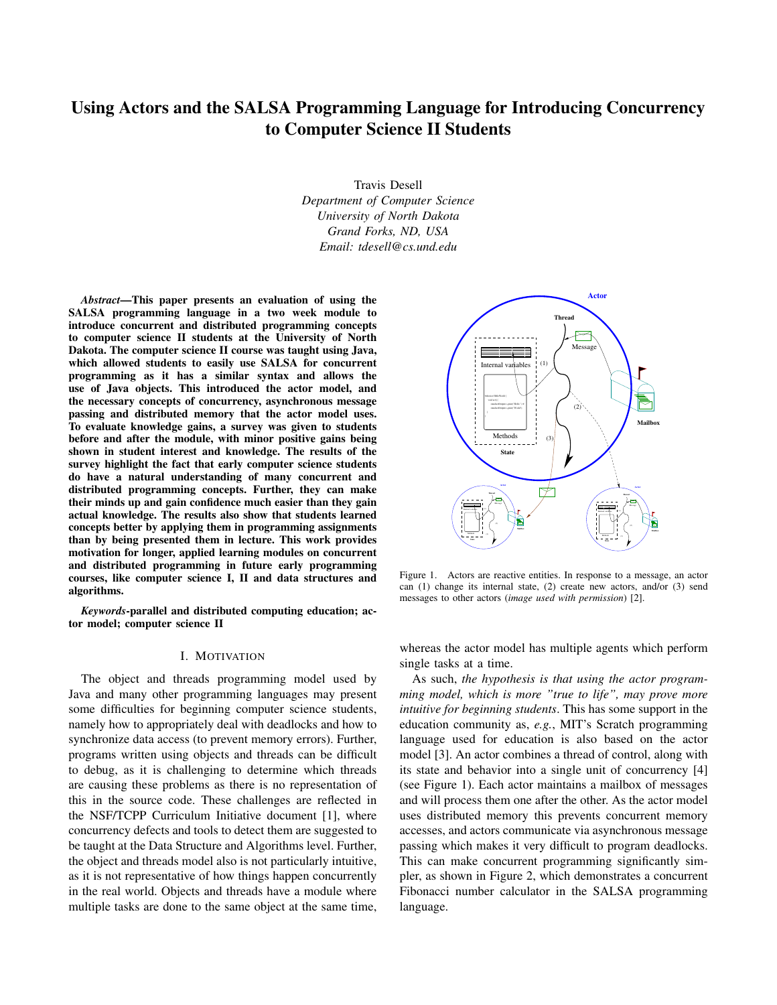# Using Actors and the SALSA Programming Language for Introducing Concurrency to Computer Science II Students

Travis Desell *Department of Computer Science University of North Dakota Grand Forks, ND, USA Email: tdesell@cs.und.edu*

*Abstract*—This paper presents an evaluation of using the SALSA programming language in a two week module to introduce concurrent and distributed programming concepts to computer science II students at the University of North Dakota. The computer science II course was taught using Java, which allowed students to easily use SALSA for concurrent programming as it has a similar syntax and allows the use of Java objects. This introduced the actor model, and the necessary concepts of concurrency, asynchronous message passing and distributed memory that the actor model uses. To evaluate knowledge gains, a survey was given to students before and after the module, with minor positive gains being shown in student interest and knowledge. The results of the survey highlight the fact that early computer science students do have a natural understanding of many concurrent and distributed programming concepts. Further, they can make their minds up and gain confidence much easier than they gain actual knowledge. The results also show that students learned concepts better by applying them in programming assignments than by being presented them in lecture. This work provides motivation for longer, applied learning modules on concurrent and distributed programming in future early programming courses, like computer science I, II and data structures and algorithms.

*Keywords*-parallel and distributed computing education; actor model; computer science II

#### I. MOTIVATION

The object and threads programming model used by Java and many other programming languages may present some difficulties for beginning computer science students, namely how to appropriately deal with deadlocks and how to synchronize data access (to prevent memory errors). Further, programs written using objects and threads can be difficult to debug, as it is challenging to determine which threads are causing these problems as there is no representation of this in the source code. These challenges are reflected in the NSF/TCPP Curriculum Initiative document [1], where concurrency defects and tools to detect them are suggested to be taught at the Data Structure and Algorithms level. Further, the object and threads model also is not particularly intuitive, as it is not representative of how things happen concurrently in the real world. Objects and threads have a module where multiple tasks are done to the same object at the same time,



Figure 1. Actors are reactive entities. In response to a message, an actor can (1) change its internal state, (2) create new actors, and/or (3) send messages to other actors (*image used with permission*) [2].

whereas the actor model has multiple agents which perform single tasks at a time.

As such, *the hypothesis is that using the actor programming model, which is more "true to life", may prove more intuitive for beginning students*. This has some support in the education community as, *e.g.*, MIT's Scratch programming language used for education is also based on the actor model [3]. An actor combines a thread of control, along with its state and behavior into a single unit of concurrency [4] (see Figure 1). Each actor maintains a mailbox of messages and will process them one after the other. As the actor model uses distributed memory this prevents concurrent memory accesses, and actors communicate via asynchronous message passing which makes it very difficult to program deadlocks. This can make concurrent programming significantly simpler, as shown in Figure 2, which demonstrates a concurrent Fibonacci number calculator in the SALSA programming language.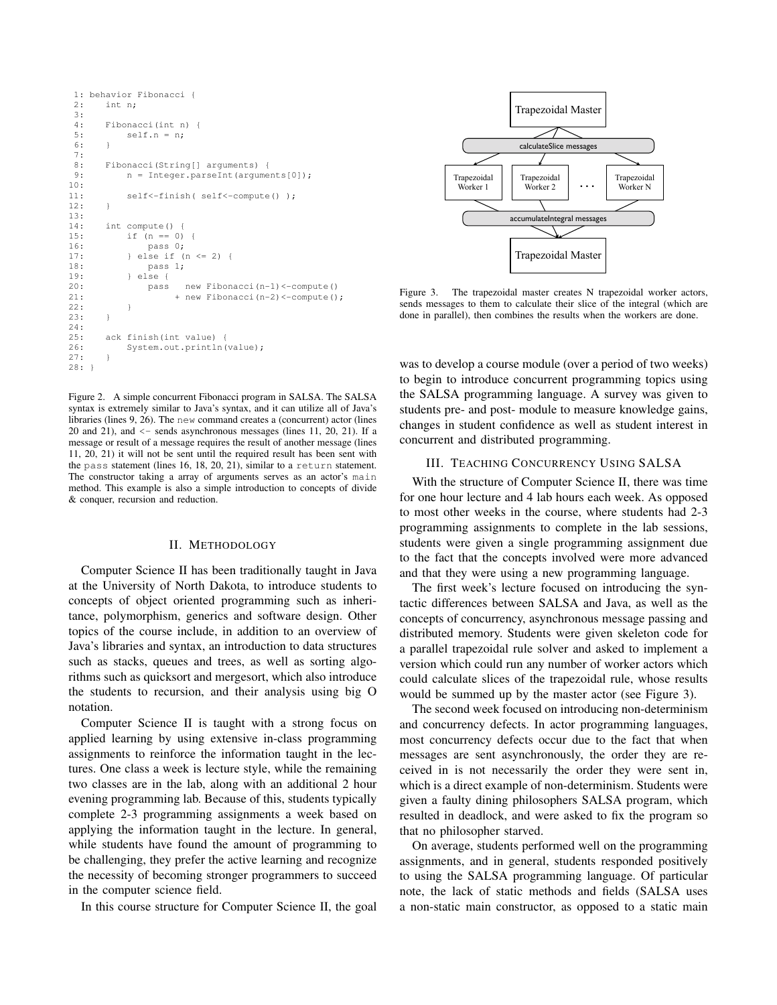```
1: behavior Fibonacci {
2: int n;
3:4:Fibonacci(int n) {
5: self.n = n;
6:7:
8: Fibonacci(String[] arguments) {
9: n = Integer.parseInt(arguments[0]);
10:
11: self<-finish( self<-compute() );
12: }
13:
14: int compute() {
15: if (n == 0) {
16: pass 0;
17: \qquad } else if (n \leq 2) {
18: pass 1;
19: } else {
20: pass new Fibonacci(n-1)<-compute()
21: + new Fibonacci(n-2) <- compute();
22 \cdot 123: }
24:
25: ack finish(int value) {
26: System.out.println(value);
27: }
28: 1
```
Figure 2. A simple concurrent Fibonacci program in SALSA. The SALSA syntax is extremely similar to Java's syntax, and it can utilize all of Java's libraries (lines 9, 26). The new command creates a (concurrent) actor (lines 20 and 21), and  $\le$  - sends asynchronous messages (lines 11, 20, 21). If a message or result of a message requires the result of another message (lines 11, 20, 21) it will not be sent until the required result has been sent with the pass statement (lines 16, 18, 20, 21), similar to a return statement. The constructor taking a array of arguments serves as an actor's main method. This example is also a simple introduction to concepts of divide & conquer, recursion and reduction.

#### II. METHODOLOGY

Computer Science II has been traditionally taught in Java at the University of North Dakota, to introduce students to concepts of object oriented programming such as inheritance, polymorphism, generics and software design. Other topics of the course include, in addition to an overview of Java's libraries and syntax, an introduction to data structures such as stacks, queues and trees, as well as sorting algorithms such as quicksort and mergesort, which also introduce the students to recursion, and their analysis using big O notation.

Computer Science II is taught with a strong focus on applied learning by using extensive in-class programming assignments to reinforce the information taught in the lectures. One class a week is lecture style, while the remaining two classes are in the lab, along with an additional 2 hour evening programming lab. Because of this, students typically complete 2-3 programming assignments a week based on applying the information taught in the lecture. In general, while students have found the amount of programming to be challenging, they prefer the active learning and recognize the necessity of becoming stronger programmers to succeed in the computer science field.

In this course structure for Computer Science II, the goal



Figure 3. The trapezoidal master creates N trapezoidal worker actors, sends messages to them to calculate their slice of the integral (which are done in parallel), then combines the results when the workers are done.

was to develop a course module (over a period of two weeks) to begin to introduce concurrent programming topics using the SALSA programming language. A survey was given to students pre- and post- module to measure knowledge gains, changes in student confidence as well as student interest in concurrent and distributed programming.

## III. TEACHING CONCURRENCY USING SALSA

With the structure of Computer Science II, there was time for one hour lecture and 4 lab hours each week. As opposed to most other weeks in the course, where students had 2-3 programming assignments to complete in the lab sessions, students were given a single programming assignment due to the fact that the concepts involved were more advanced and that they were using a new programming language.

The first week's lecture focused on introducing the syntactic differences between SALSA and Java, as well as the concepts of concurrency, asynchronous message passing and distributed memory. Students were given skeleton code for a parallel trapezoidal rule solver and asked to implement a version which could run any number of worker actors which could calculate slices of the trapezoidal rule, whose results would be summed up by the master actor (see Figure 3).

The second week focused on introducing non-determinism and concurrency defects. In actor programming languages, most concurrency defects occur due to the fact that when messages are sent asynchronously, the order they are received in is not necessarily the order they were sent in, which is a direct example of non-determinism. Students were given a faulty dining philosophers SALSA program, which resulted in deadlock, and were asked to fix the program so that no philosopher starved.

On average, students performed well on the programming assignments, and in general, students responded positively to using the SALSA programming language. Of particular note, the lack of static methods and fields (SALSA uses a non-static main constructor, as opposed to a static main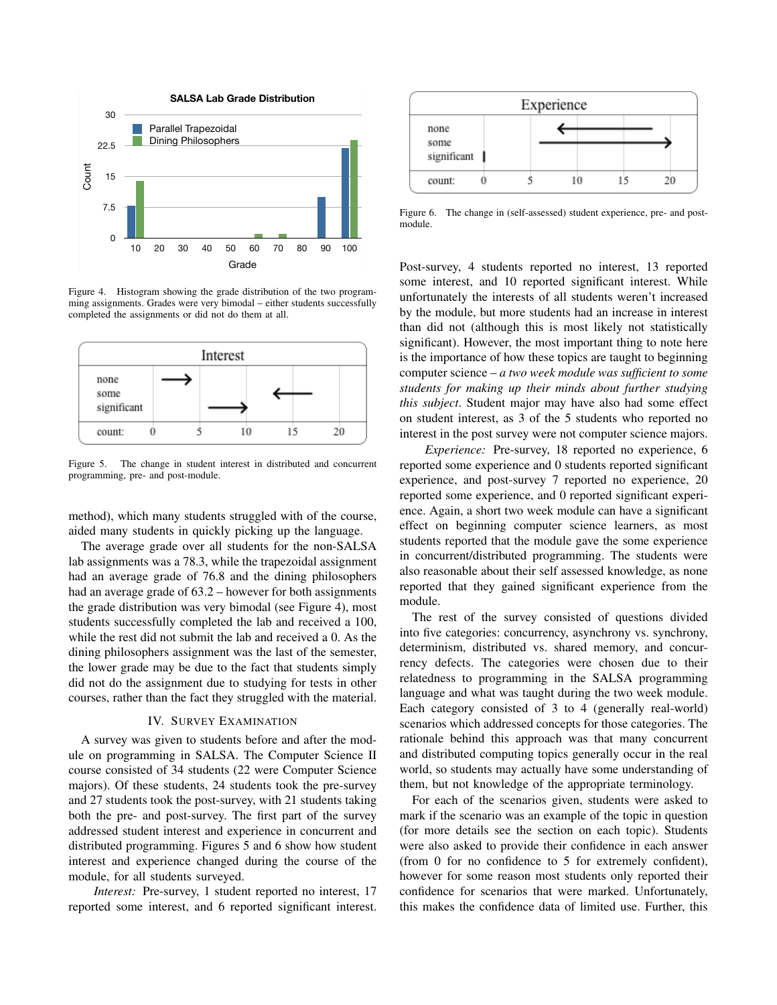

Figure 4. Histogram showing the grade distribution of the two programming assignments. Grades were very bimodal – either students successfully completed the assignments or did not do them at all.



Figure 5. The change in student interest in distributed and concurrent programming, pre- and post-module.

method), which many students struggled with of the course, aided many students in quickly picking up the language.

The average grade over all students for the non-SALSA lab assignments was a 78.3, while the trapezoidal assignment had an average grade of 76.8 and the dining philosophers had an average grade of 63.2 – however for both assignments the grade distribution was very bimodal (see Figure 4), most students successfully completed the lab and received a 100, while the rest did not submit the lab and received a 0. As the dining philosophers assignment was the last of the semester, the lower grade may be due to the fact that students simply did not do the assignment due to studying for tests in other courses, rather than the fact they struggled with the material.

## IV. SURVEY EXAMINATION

A survey was given to students before and after the module on programming in SALSA. The Computer Science II course consisted of 34 students (22 were Computer Science majors). Of these students, 24 students took the pre-survey and 27 students took the post-survey, with 21 students taking both the pre- and post-survey. The first part of the survey addressed student interest and experience in concurrent and distributed programming. Figures 5 and 6 show how student interest and experience changed during the course of the module, for all students surveyed.

*Interest:* Pre-survey, 1 student reported no interest, 17 reported some interest, and 6 reported significant interest.



Figure 6. The change in (self-assessed) student experience, pre- and postmodule.

Post-survey, 4 students reported no interest, 13 reported some interest, and 10 reported significant interest. While unfortunately the interests of all students weren't increased by the module, but more students had an increase in interest than did not (although this is most likely not statistically significant). However, the most important thing to note here is the importance of how these topics are taught to beginning computer science – *a two week module was sufficient to some students for making up their minds about further studying this subject*. Student major may have also had some effect on student interest, as 3 of the 5 students who reported no interest in the post survey were not computer science majors.

*Experience:* Pre-survey, 18 reported no experience, 6 reported some experience and 0 students reported significant experience, and post-survey 7 reported no experience, 20 reported some experience, and 0 reported significant experience. Again, a short two week module can have a significant effect on beginning computer science learners, as most students reported that the module gave the some experience in concurrent/distributed programming. The students were also reasonable about their self assessed knowledge, as none reported that they gained significant experience from the module.

The rest of the survey consisted of questions divided into five categories: concurrency, asynchrony vs. synchrony, determinism, distributed vs. shared memory, and concurrency defects. The categories were chosen due to their relatedness to programming in the SALSA programming language and what was taught during the two week module. Each category consisted of 3 to 4 (generally real-world) scenarios which addressed concepts for those categories. The rationale behind this approach was that many concurrent and distributed computing topics generally occur in the real world, so students may actually have some understanding of them, but not knowledge of the appropriate terminology.

For each of the scenarios given, students were asked to mark if the scenario was an example of the topic in question (for more details see the section on each topic). Students were also asked to provide their confidence in each answer (from 0 for no confidence to 5 for extremely confident), however for some reason most students only reported their confidence for scenarios that were marked. Unfortunately, this makes the confidence data of limited use. Further, this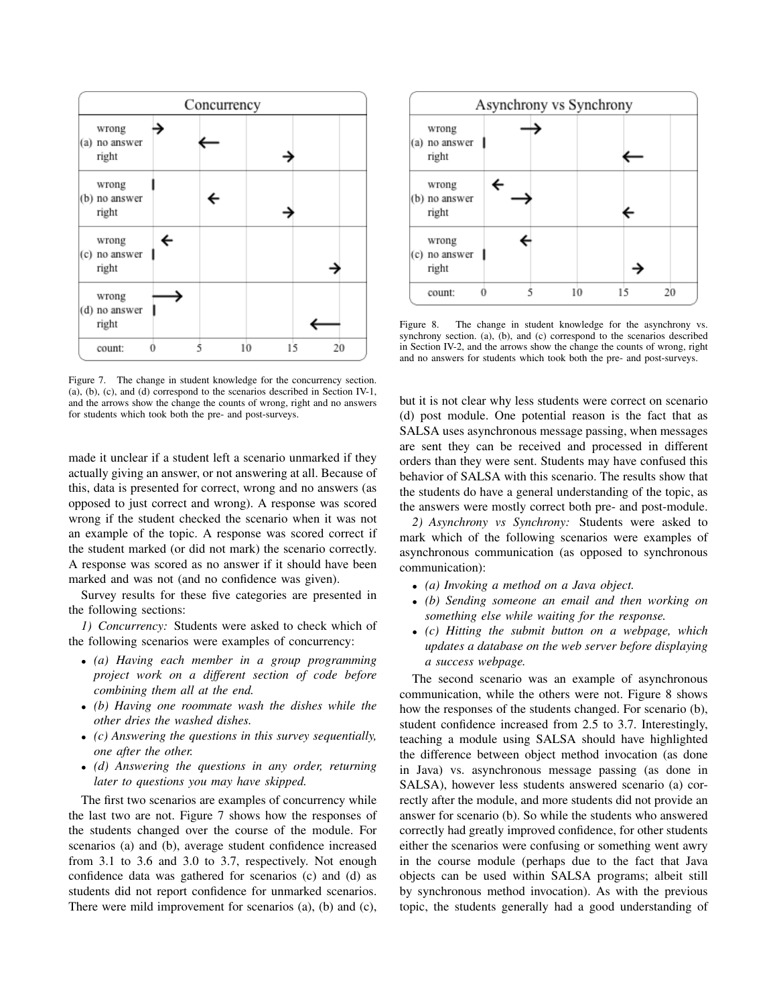

Figure 7. The change in student knowledge for the concurrency section. (a), (b), (c), and (d) correspond to the scenarios described in Section IV-1, and the arrows show the change the counts of wrong, right and no answers for students which took both the pre- and post-surveys.

made it unclear if a student left a scenario unmarked if they actually giving an answer, or not answering at all. Because of this, data is presented for correct, wrong and no answers (as opposed to just correct and wrong). A response was scored wrong if the student checked the scenario when it was not an example of the topic. A response was scored correct if the student marked (or did not mark) the scenario correctly. A response was scored as no answer if it should have been marked and was not (and no confidence was given).

Survey results for these five categories are presented in the following sections:

*1) Concurrency:* Students were asked to check which of the following scenarios were examples of concurrency:

- *(a) Having each member in a group programming project work on a different section of code before combining them all at the end.*
- *(b) Having one roommate wash the dishes while the other dries the washed dishes.*
- *(c) Answering the questions in this survey sequentially, one after the other.*
- *(d) Answering the questions in any order, returning later to questions you may have skipped.*

The first two scenarios are examples of concurrency while the last two are not. Figure 7 shows how the responses of the students changed over the course of the module. For scenarios (a) and (b), average student confidence increased from 3.1 to 3.6 and 3.0 to 3.7, respectively. Not enough confidence data was gathered for scenarios (c) and (d) as students did not report confidence for unmarked scenarios. There were mild improvement for scenarios (a), (b) and (c),



Figure 8. The change in student knowledge for the asynchrony vs. synchrony section. (a), (b), and (c) correspond to the scenarios described in Section IV-2, and the arrows show the change the counts of wrong, right and no answers for students which took both the pre- and post-surveys.

but it is not clear why less students were correct on scenario (d) post module. One potential reason is the fact that as SALSA uses asynchronous message passing, when messages are sent they can be received and processed in different orders than they were sent. Students may have confused this behavior of SALSA with this scenario. The results show that the students do have a general understanding of the topic, as the answers were mostly correct both pre- and post-module.

*2) Asynchrony vs Synchrony:* Students were asked to mark which of the following scenarios were examples of asynchronous communication (as opposed to synchronous communication):

- *(a) Invoking a method on a Java object.*
- *(b) Sending someone an email and then working on something else while waiting for the response.*
- *(c) Hitting the submit button on a webpage, which updates a database on the web server before displaying a success webpage.*

The second scenario was an example of asynchronous communication, while the others were not. Figure 8 shows how the responses of the students changed. For scenario (b), student confidence increased from 2.5 to 3.7. Interestingly, teaching a module using SALSA should have highlighted the difference between object method invocation (as done in Java) vs. asynchronous message passing (as done in SALSA), however less students answered scenario (a) correctly after the module, and more students did not provide an answer for scenario (b). So while the students who answered correctly had greatly improved confidence, for other students either the scenarios were confusing or something went awry in the course module (perhaps due to the fact that Java objects can be used within SALSA programs; albeit still by synchronous method invocation). As with the previous topic, the students generally had a good understanding of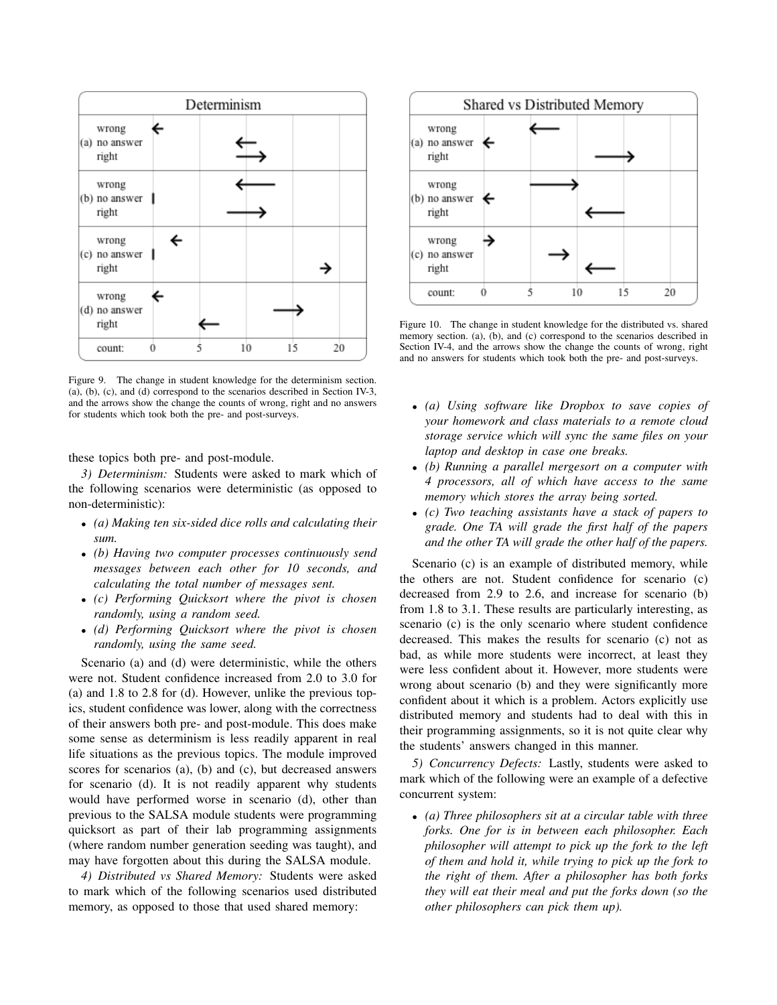

Figure 9. The change in student knowledge for the determinism section. (a), (b), (c), and (d) correspond to the scenarios described in Section IV-3, and the arrows show the change the counts of wrong, right and no answers for students which took both the pre- and post-surveys.

these topics both pre- and post-module.

*3) Determinism:* Students were asked to mark which of the following scenarios were deterministic (as opposed to non-deterministic):

- *(a) Making ten six-sided dice rolls and calculating their sum.*
- *(b) Having two computer processes continuously send messages between each other for 10 seconds, and calculating the total number of messages sent.*
- *(c) Performing Quicksort where the pivot is chosen randomly, using a random seed.*
- *(d) Performing Quicksort where the pivot is chosen randomly, using the same seed.*

Scenario (a) and (d) were deterministic, while the others were not. Student confidence increased from 2.0 to 3.0 for (a) and 1.8 to 2.8 for (d). However, unlike the previous topics, student confidence was lower, along with the correctness of their answers both pre- and post-module. This does make some sense as determinism is less readily apparent in real life situations as the previous topics. The module improved scores for scenarios (a), (b) and (c), but decreased answers for scenario (d). It is not readily apparent why students would have performed worse in scenario (d), other than previous to the SALSA module students were programming quicksort as part of their lab programming assignments (where random number generation seeding was taught), and may have forgotten about this during the SALSA module.

*4) Distributed vs Shared Memory:* Students were asked to mark which of the following scenarios used distributed memory, as opposed to those that used shared memory:



Figure 10. The change in student knowledge for the distributed vs. shared memory section. (a), (b), and (c) correspond to the scenarios described in Section IV-4, and the arrows show the change the counts of wrong, right and no answers for students which took both the pre- and post-surveys.

- *(a) Using software like Dropbox to save copies of your homework and class materials to a remote cloud storage service which will sync the same files on your laptop and desktop in case one breaks.*
- *(b) Running a parallel mergesort on a computer with 4 processors, all of which have access to the same memory which stores the array being sorted.*
- *(c) Two teaching assistants have a stack of papers to grade. One TA will grade the first half of the papers and the other TA will grade the other half of the papers.*

Scenario (c) is an example of distributed memory, while the others are not. Student confidence for scenario (c) decreased from 2.9 to 2.6, and increase for scenario (b) from 1.8 to 3.1. These results are particularly interesting, as scenario (c) is the only scenario where student confidence decreased. This makes the results for scenario (c) not as bad, as while more students were incorrect, at least they were less confident about it. However, more students were wrong about scenario (b) and they were significantly more confident about it which is a problem. Actors explicitly use distributed memory and students had to deal with this in their programming assignments, so it is not quite clear why the students' answers changed in this manner.

*5) Concurrency Defects:* Lastly, students were asked to mark which of the following were an example of a defective concurrent system:

• *(a) Three philosophers sit at a circular table with three forks. One for is in between each philosopher. Each philosopher will attempt to pick up the fork to the left of them and hold it, while trying to pick up the fork to the right of them. After a philosopher has both forks they will eat their meal and put the forks down (so the other philosophers can pick them up).*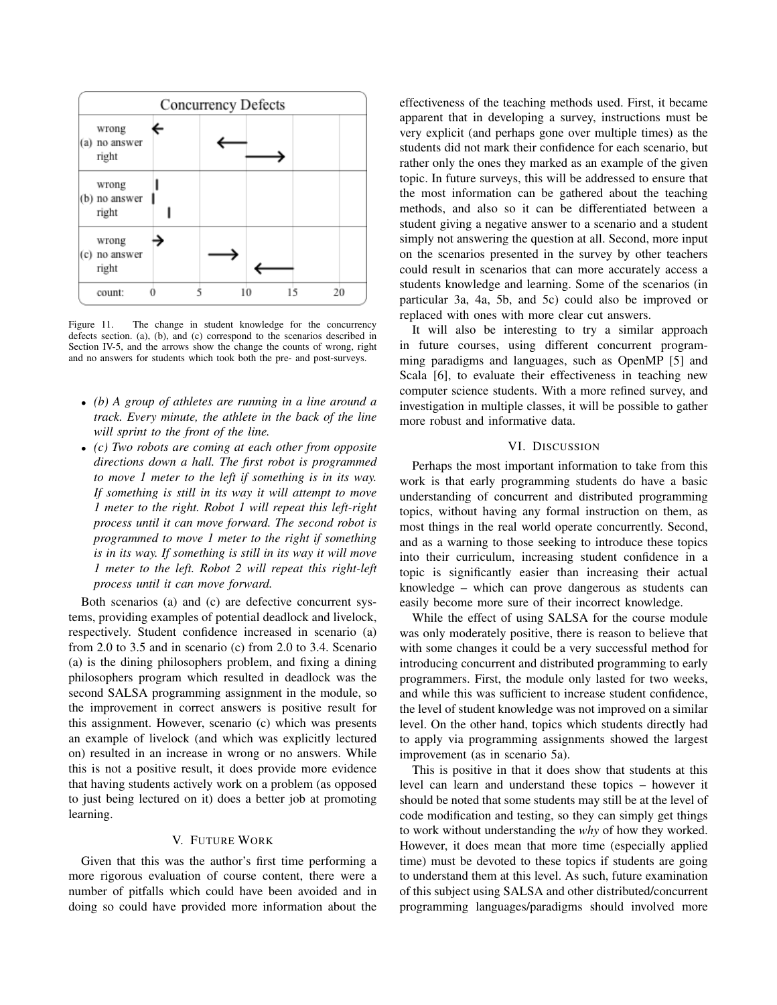

Figure 11. The change in student knowledge for the concurrency defects section. (a), (b), and (c) correspond to the scenarios described in Section IV-5, and the arrows show the change the counts of wrong, right and no answers for students which took both the pre- and post-surveys.

- *(b) A group of athletes are running in a line around a track. Every minute, the athlete in the back of the line will sprint to the front of the line.*
- *(c) Two robots are coming at each other from opposite directions down a hall. The first robot is programmed to move 1 meter to the left if something is in its way. If something is still in its way it will attempt to move 1 meter to the right. Robot 1 will repeat this left-right process until it can move forward. The second robot is programmed to move 1 meter to the right if something is in its way. If something is still in its way it will move 1 meter to the left. Robot 2 will repeat this right-left process until it can move forward.*

Both scenarios (a) and (c) are defective concurrent systems, providing examples of potential deadlock and livelock, respectively. Student confidence increased in scenario (a) from 2.0 to 3.5 and in scenario (c) from 2.0 to 3.4. Scenario (a) is the dining philosophers problem, and fixing a dining philosophers program which resulted in deadlock was the second SALSA programming assignment in the module, so the improvement in correct answers is positive result for this assignment. However, scenario (c) which was presents an example of livelock (and which was explicitly lectured on) resulted in an increase in wrong or no answers. While this is not a positive result, it does provide more evidence that having students actively work on a problem (as opposed to just being lectured on it) does a better job at promoting learning.

## V. FUTURE WORK

Given that this was the author's first time performing a more rigorous evaluation of course content, there were a number of pitfalls which could have been avoided and in doing so could have provided more information about the effectiveness of the teaching methods used. First, it became apparent that in developing a survey, instructions must be very explicit (and perhaps gone over multiple times) as the students did not mark their confidence for each scenario, but rather only the ones they marked as an example of the given topic. In future surveys, this will be addressed to ensure that the most information can be gathered about the teaching methods, and also so it can be differentiated between a student giving a negative answer to a scenario and a student simply not answering the question at all. Second, more input on the scenarios presented in the survey by other teachers could result in scenarios that can more accurately access a students knowledge and learning. Some of the scenarios (in particular 3a, 4a, 5b, and 5c) could also be improved or replaced with ones with more clear cut answers.

It will also be interesting to try a similar approach in future courses, using different concurrent programming paradigms and languages, such as OpenMP [5] and Scala [6], to evaluate their effectiveness in teaching new computer science students. With a more refined survey, and investigation in multiple classes, it will be possible to gather more robust and informative data.

## VI. DISCUSSION

Perhaps the most important information to take from this work is that early programming students do have a basic understanding of concurrent and distributed programming topics, without having any formal instruction on them, as most things in the real world operate concurrently. Second, and as a warning to those seeking to introduce these topics into their curriculum, increasing student confidence in a topic is significantly easier than increasing their actual knowledge – which can prove dangerous as students can easily become more sure of their incorrect knowledge.

While the effect of using SALSA for the course module was only moderately positive, there is reason to believe that with some changes it could be a very successful method for introducing concurrent and distributed programming to early programmers. First, the module only lasted for two weeks, and while this was sufficient to increase student confidence, the level of student knowledge was not improved on a similar level. On the other hand, topics which students directly had to apply via programming assignments showed the largest improvement (as in scenario 5a).

This is positive in that it does show that students at this level can learn and understand these topics – however it should be noted that some students may still be at the level of code modification and testing, so they can simply get things to work without understanding the *why* of how they worked. However, it does mean that more time (especially applied time) must be devoted to these topics if students are going to understand them at this level. As such, future examination of this subject using SALSA and other distributed/concurrent programming languages/paradigms should involved more